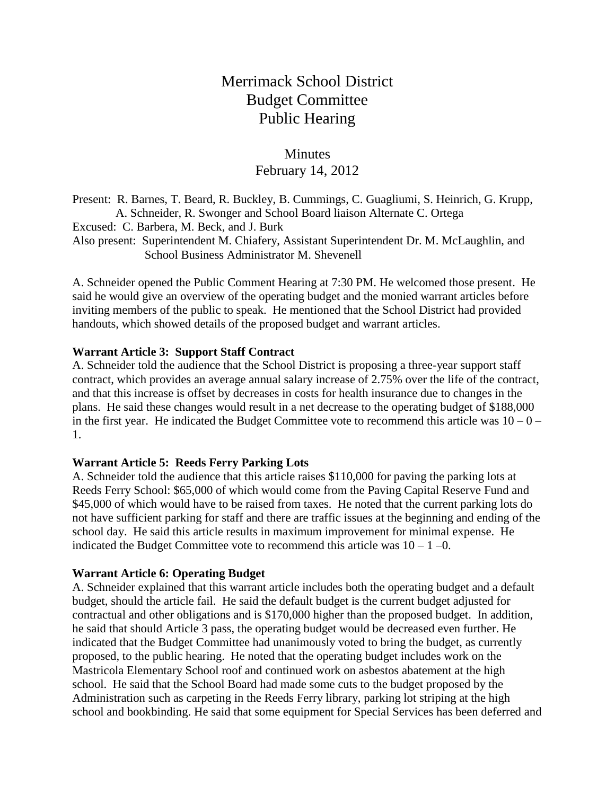# Merrimack School District Budget Committee Public Hearing

# **Minutes** February 14, 2012

Present: R. Barnes, T. Beard, R. Buckley, B. Cummings, C. Guagliumi, S. Heinrich, G. Krupp, A. Schneider, R. Swonger and School Board liaison Alternate C. Ortega Excused: C. Barbera, M. Beck, and J. Burk Also present: Superintendent M. Chiafery, Assistant Superintendent Dr. M. McLaughlin, and School Business Administrator M. Shevenell

A. Schneider opened the Public Comment Hearing at 7:30 PM. He welcomed those present. He said he would give an overview of the operating budget and the monied warrant articles before inviting members of the public to speak. He mentioned that the School District had provided handouts, which showed details of the proposed budget and warrant articles.

## **Warrant Article 3: Support Staff Contract**

A. Schneider told the audience that the School District is proposing a three-year support staff contract, which provides an average annual salary increase of 2.75% over the life of the contract, and that this increase is offset by decreases in costs for health insurance due to changes in the plans. He said these changes would result in a net decrease to the operating budget of \$188,000 in the first year. He indicated the Budget Committee vote to recommend this article was  $10 - 0 -$ 1.

### **Warrant Article 5: Reeds Ferry Parking Lots**

A. Schneider told the audience that this article raises \$110,000 for paving the parking lots at Reeds Ferry School: \$65,000 of which would come from the Paving Capital Reserve Fund and \$45,000 of which would have to be raised from taxes. He noted that the current parking lots do not have sufficient parking for staff and there are traffic issues at the beginning and ending of the school day. He said this article results in maximum improvement for minimal expense. He indicated the Budget Committee vote to recommend this article was  $10 - 1 - 0$ .

### **Warrant Article 6: Operating Budget**

A. Schneider explained that this warrant article includes both the operating budget and a default budget, should the article fail. He said the default budget is the current budget adjusted for contractual and other obligations and is \$170,000 higher than the proposed budget. In addition, he said that should Article 3 pass, the operating budget would be decreased even further. He indicated that the Budget Committee had unanimously voted to bring the budget, as currently proposed, to the public hearing. He noted that the operating budget includes work on the Mastricola Elementary School roof and continued work on asbestos abatement at the high school. He said that the School Board had made some cuts to the budget proposed by the Administration such as carpeting in the Reeds Ferry library, parking lot striping at the high school and bookbinding. He said that some equipment for Special Services has been deferred and